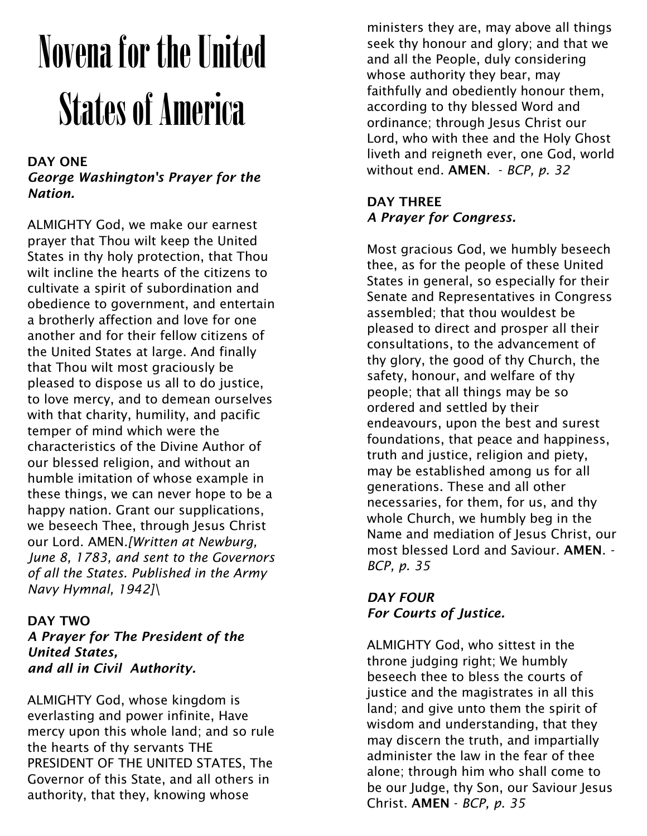# Novena for the United States of America

### DAY ONE

*George Washington's Prayer for the Nation.*

ALMIGHTY God, we make our earnest prayer that Thou wilt keep the United States in thy holy protection, that Thou wilt incline the hearts of the citizens to cultivate a spirit of subordination and obedience to government, and entertain a brotherly affection and love for one another and for their fellow citizens of the United States at large. And finally that Thou wilt most graciously be pleased to dispose us all to do justice, to love mercy, and to demean ourselves with that charity, humility, and pacific temper of mind which were the characteristics of the Divine Author of our blessed religion, and without an humble imitation of whose example in these things, we can never hope to be a happy nation. Grant our supplications, we beseech Thee, through Jesus Christ our Lord. AMEN*.[Written at Newburg, June 8, 1783, and sent to the Governors of all the States. Published in the Army Navy Hymnal, 1942]\*

## DAY TWO

*A Prayer for The President of the United States, and all in Civil Authority.*

ALMIGHTY God, whose kingdom is everlasting and power infinite, Have mercy upon this whole land; and so rule the hearts of thy servants THE PRESIDENT OF THE UNITED STATES, The Governor of this State, and all others in authority, that they, knowing whose

ministers they are, may above all things seek thy honour and glory; and that we and all the People, duly considering whose authority they bear, may faithfully and obediently honour them, according to thy blessed Word and ordinance; through Jesus Christ our Lord, who with thee and the Holy Ghost liveth and reigneth ever, one God, world without end. AMEN. - *BCP, p. 32*

## DAY THREE *A Prayer for Congress.*

Most gracious God, we humbly beseech thee, as for the people of these United States in general, so especially for their Senate and Representatives in Congress assembled; that thou wouldest be pleased to direct and prosper all their consultations, to the advancement of thy glory, the good of thy Church, the safety, honour, and welfare of thy people; that all things may be so ordered and settled by their endeavours, upon the best and surest foundations, that peace and happiness, truth and justice, religion and piety, may be established among us for all generations. These and all other necessaries, for them, for us, and thy whole Church, we humbly beg in the Name and mediation of Jesus Christ, our most blessed Lord and Saviour. AMEN. *- BCP, p. 35*

# *DAY FOUR For Courts of Justice.*

ALMIGHTY God, who sittest in the throne judging right; We humbly beseech thee to bless the courts of justice and the magistrates in all this land; and give unto them the spirit of wisdom and understanding, that they may discern the truth, and impartially administer the law in the fear of thee alone; through him who shall come to be our Judge, thy Son, our Saviour Jesus Christ. AMEN - *BCP, p. 35*